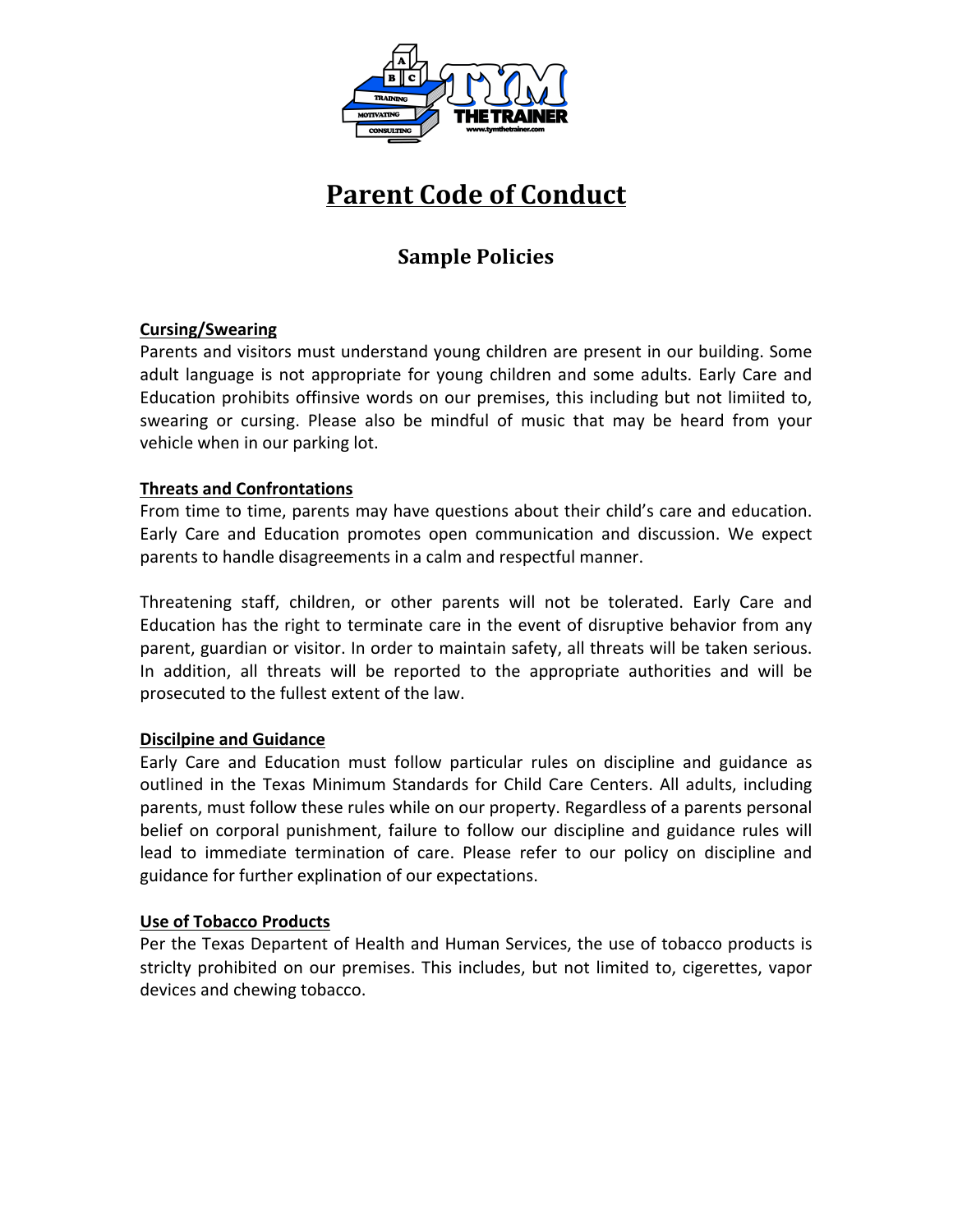

# **Parent Code of Conduct**

# **Sample Policies**

# **Cursing/Swearing**

Parents and visitors must understand young children are present in our building. Some adult language is not appropriate for young children and some adults. Early Care and Education prohibits offinsive words on our premises, this including but not limiited to, swearing or cursing. Please also be mindful of music that may be heard from your vehicle when in our parking lot.

# **Threats and Confrontations**

From time to time, parents may have questions about their child's care and education. Early Care and Education promotes open communication and discussion. We expect parents to handle disagreements in a calm and respectful manner.

Threatening staff, children, or other parents will not be tolerated. Early Care and Education has the right to terminate care in the event of disruptive behavior from any parent, guardian or visitor. In order to maintain safety, all threats will be taken serious. In addition, all threats will be reported to the appropriate authorities and will be prosecuted to the fullest extent of the law.

# **Discilpine and Guidance**

Early Care and Education must follow particular rules on discipline and guidance as outlined in the Texas Minimum Standards for Child Care Centers. All adults, including parents, must follow these rules while on our property. Regardless of a parents personal belief on corporal punishment, failure to follow our discipline and guidance rules will lead to immediate termination of care. Please refer to our policy on discipline and guidance for further explination of our expectations.

# Use of Tobacco Products

Per the Texas Departent of Health and Human Services, the use of tobacco products is striclty prohibited on our premises. This includes, but not limited to, cigerettes, vapor devices and chewing tobacco.